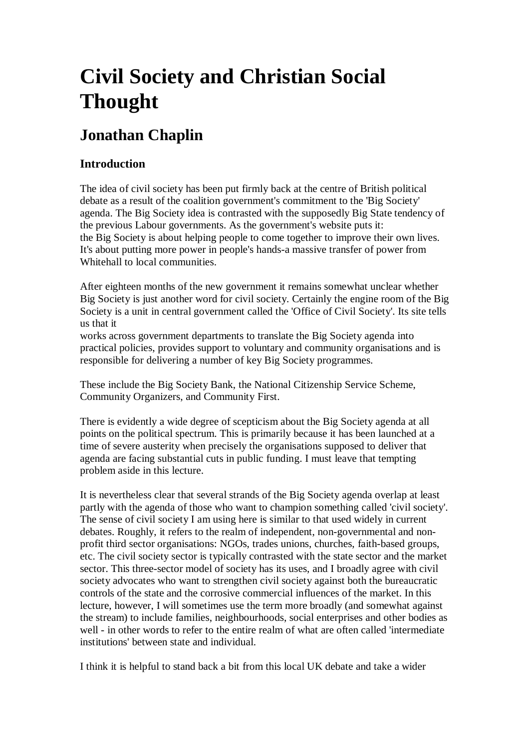# **Civil Society and Christian Social Thought**

# **Jonathan Chaplin**

# **Introduction**

The idea of civil society has been put firmly back at the centre of British political debate as a result of the coalition government's commitment to the 'Big Society' agenda. The Big Society idea is contrasted with the supposedly Big State tendency of the previous Labour governments. As the government's website puts it: the Big Society is about helping people to come together to improve their own lives. It's about putting more power in people's hands-a massive transfer of power from Whitehall to local communities.

After eighteen months of the new government it remains somewhat unclear whether Big Society is just another word for civil society. Certainly the engine room of the Big Society is a unit in central government called the 'Office of Civil Society'. Its site tells us that it

works across government departments to translate the Big Society agenda into practical policies, provides support to voluntary and community organisations and is responsible for delivering a number of key Big Society programmes.

These include the Big Society Bank, the National Citizenship Service Scheme, Community Organizers, and Community First.

There is evidently a wide degree of scepticism about the Big Society agenda at all points on the political spectrum. This is primarily because it has been launched at a time of severe austerity when precisely the organisations supposed to deliver that agenda are facing substantial cuts in public funding. I must leave that tempting problem aside in this lecture.

It is nevertheless clear that several strands of the Big Society agenda overlap at least partly with the agenda of those who want to champion something called 'civil society'. The sense of civil society I am using here is similar to that used widely in current debates. Roughly, it refers to the realm of independent, non-governmental and nonprofit third sector organisations: NGOs, trades unions, churches, faith-based groups, etc. The civil society sector is typically contrasted with the state sector and the market sector. This three-sector model of society has its uses, and I broadly agree with civil society advocates who want to strengthen civil society against both the bureaucratic controls of the state and the corrosive commercial influences of the market. In this lecture, however, I will sometimes use the term more broadly (and somewhat against the stream) to include families, neighbourhoods, social enterprises and other bodies as well - in other words to refer to the entire realm of what are often called 'intermediate institutions' between state and individual.

I think it is helpful to stand back a bit from this local UK debate and take a wider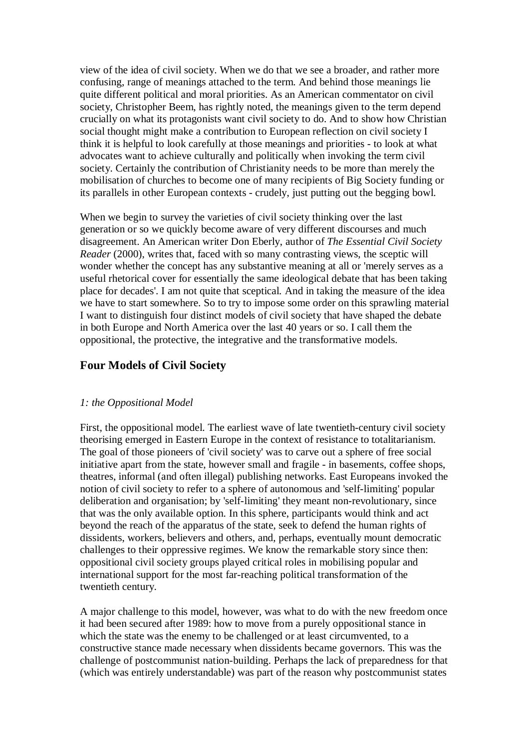view of the idea of civil society. When we do that we see a broader, and rather more confusing, range of meanings attached to the term. And behind those meanings lie quite different political and moral priorities. As an American commentator on civil society, Christopher Beem, has rightly noted, the meanings given to the term depend crucially on what its protagonists want civil society to do. And to show how Christian social thought might make a contribution to European reflection on civil society I think it is helpful to look carefully at those meanings and priorities - to look at what advocates want to achieve culturally and politically when invoking the term civil society. Certainly the contribution of Christianity needs to be more than merely the mobilisation of churches to become one of many recipients of Big Society funding or its parallels in other European contexts - crudely, just putting out the begging bowl.

When we begin to survey the varieties of civil society thinking over the last generation or so we quickly become aware of very different discourses and much disagreement. An American writer Don Eberly, author of *The Essential Civil Society Reader* (2000), writes that, faced with so many contrasting views, the sceptic will wonder whether the concept has any substantive meaning at all or 'merely serves as a useful rhetorical cover for essentially the same ideological debate that has been taking place for decades'. I am not quite that sceptical. And in taking the measure of the idea we have to start somewhere. So to try to impose some order on this sprawling material I want to distinguish four distinct models of civil society that have shaped the debate in both Europe and North America over the last 40 years or so. I call them the oppositional, the protective, the integrative and the transformative models.

# **Four Models of Civil Society**

#### *1: the Oppositional Model*

First, the oppositional model. The earliest wave of late twentieth-century civil society theorising emerged in Eastern Europe in the context of resistance to totalitarianism. The goal of those pioneers of 'civil society' was to carve out a sphere of free social initiative apart from the state, however small and fragile - in basements, coffee shops, theatres, informal (and often illegal) publishing networks. East Europeans invoked the notion of civil society to refer to a sphere of autonomous and 'self-limiting' popular deliberation and organisation; by 'self-limiting' they meant non-revolutionary, since that was the only available option. In this sphere, participants would think and act beyond the reach of the apparatus of the state, seek to defend the human rights of dissidents, workers, believers and others, and, perhaps, eventually mount democratic challenges to their oppressive regimes. We know the remarkable story since then: oppositional civil society groups played critical roles in mobilising popular and international support for the most far-reaching political transformation of the twentieth century.

A major challenge to this model, however, was what to do with the new freedom once it had been secured after 1989: how to move from a purely oppositional stance in which the state was the enemy to be challenged or at least circumvented, to a constructive stance made necessary when dissidents became governors. This was the challenge of postcommunist nation-building. Perhaps the lack of preparedness for that (which was entirely understandable) was part of the reason why postcommunist states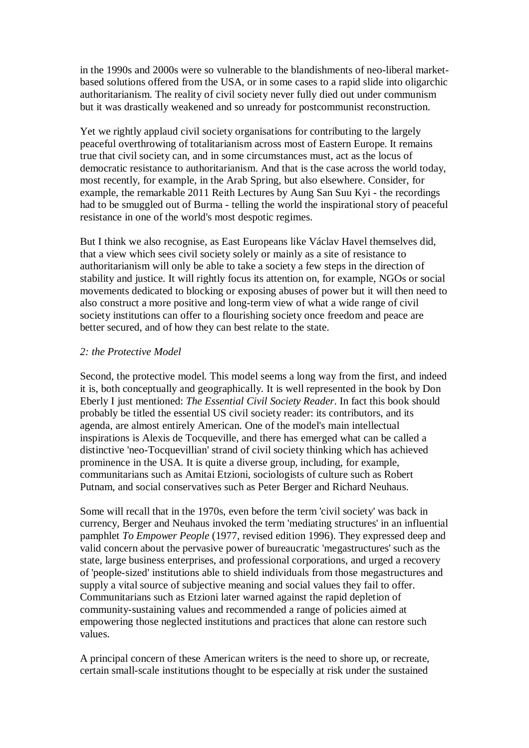in the 1990s and 2000s were so vulnerable to the blandishments of neo-liberal marketbased solutions offered from the USA, or in some cases to a rapid slide into oligarchic authoritarianism. The reality of civil society never fully died out under communism but it was drastically weakened and so unready for postcommunist reconstruction.

Yet we rightly applaud civil society organisations for contributing to the largely peaceful overthrowing of totalitarianism across most of Eastern Europe. It remains true that civil society can, and in some circumstances must, act as the locus of democratic resistance to authoritarianism. And that is the case across the world today, most recently, for example, in the Arab Spring, but also elsewhere. Consider, for example, the remarkable 2011 Reith Lectures by Aung San Suu Kyi - the recordings had to be smuggled out of Burma - telling the world the inspirational story of peaceful resistance in one of the world's most despotic regimes.

But I think we also recognise, as East Europeans like Václav Havel themselves did, that a view which sees civil society solely or mainly as a site of resistance to authoritarianism will only be able to take a society a few steps in the direction of stability and justice. It will rightly focus its attention on, for example, NGOs or social movements dedicated to blocking or exposing abuses of power but it will then need to also construct a more positive and long-term view of what a wide range of civil society institutions can offer to a flourishing society once freedom and peace are better secured, and of how they can best relate to the state.

#### *2: the Protective Model*

Second, the protective model. This model seems a long way from the first, and indeed it is, both conceptually and geographically. It is well represented in the book by Don Eberly I just mentioned: *The Essential Civil Society Reader*. In fact this book should probably be titled the essential US civil society reader: its contributors, and its agenda, are almost entirely American. One of the model's main intellectual inspirations is Alexis de Tocqueville, and there has emerged what can be called a distinctive 'neo-Tocquevillian' strand of civil society thinking which has achieved prominence in the USA. It is quite a diverse group, including, for example, communitarians such as Amitai Etzioni, sociologists of culture such as Robert Putnam, and social conservatives such as Peter Berger and Richard Neuhaus.

Some will recall that in the 1970s, even before the term 'civil society' was back in currency, Berger and Neuhaus invoked the term 'mediating structures' in an influential pamphlet *To Empower People* (1977, revised edition 1996). They expressed deep and valid concern about the pervasive power of bureaucratic 'megastructures' such as the state, large business enterprises, and professional corporations, and urged a recovery of 'people-sized' institutions able to shield individuals from those megastructures and supply a vital source of subjective meaning and social values they fail to offer. Communitarians such as Etzioni later warned against the rapid depletion of community-sustaining values and recommended a range of policies aimed at empowering those neglected institutions and practices that alone can restore such values.

A principal concern of these American writers is the need to shore up, or recreate, certain small-scale institutions thought to be especially at risk under the sustained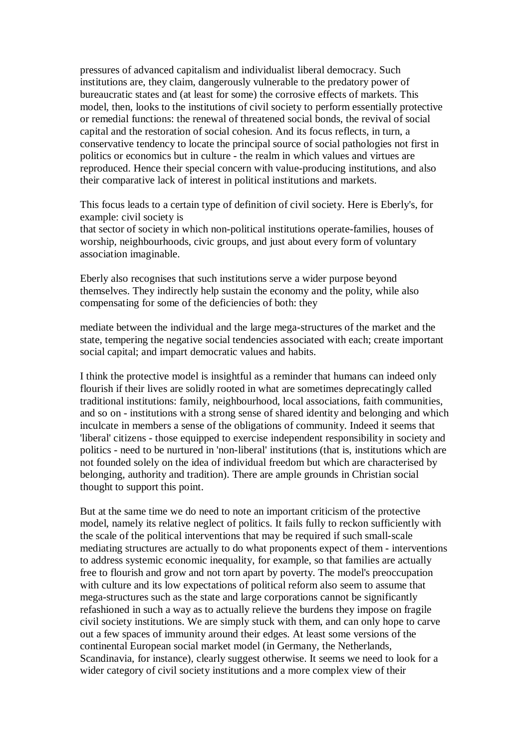pressures of advanced capitalism and individualist liberal democracy. Such institutions are, they claim, dangerously vulnerable to the predatory power of bureaucratic states and (at least for some) the corrosive effects of markets. This model, then, looks to the institutions of civil society to perform essentially protective or remedial functions: the renewal of threatened social bonds, the revival of social capital and the restoration of social cohesion. And its focus reflects, in turn, a conservative tendency to locate the principal source of social pathologies not first in politics or economics but in culture - the realm in which values and virtues are reproduced. Hence their special concern with value-producing institutions, and also their comparative lack of interest in political institutions and markets.

This focus leads to a certain type of definition of civil society. Here is Eberly's, for example: civil society is

that sector of society in which non-political institutions operate-families, houses of worship, neighbourhoods, civic groups, and just about every form of voluntary association imaginable.

Eberly also recognises that such institutions serve a wider purpose beyond themselves. They indirectly help sustain the economy and the polity, while also compensating for some of the deficiencies of both: they

mediate between the individual and the large mega-structures of the market and the state, tempering the negative social tendencies associated with each; create important social capital; and impart democratic values and habits.

I think the protective model is insightful as a reminder that humans can indeed only flourish if their lives are solidly rooted in what are sometimes deprecatingly called traditional institutions: family, neighbourhood, local associations, faith communities, and so on - institutions with a strong sense of shared identity and belonging and which inculcate in members a sense of the obligations of community. Indeed it seems that 'liberal' citizens - those equipped to exercise independent responsibility in society and politics - need to be nurtured in 'non-liberal' institutions (that is, institutions which are not founded solely on the idea of individual freedom but which are characterised by belonging, authority and tradition). There are ample grounds in Christian social thought to support this point.

But at the same time we do need to note an important criticism of the protective model, namely its relative neglect of politics. It fails fully to reckon sufficiently with the scale of the political interventions that may be required if such small-scale mediating structures are actually to do what proponents expect of them - interventions to address systemic economic inequality, for example, so that families are actually free to flourish and grow and not torn apart by poverty. The model's preoccupation with culture and its low expectations of political reform also seem to assume that mega-structures such as the state and large corporations cannot be significantly refashioned in such a way as to actually relieve the burdens they impose on fragile civil society institutions. We are simply stuck with them, and can only hope to carve out a few spaces of immunity around their edges. At least some versions of the continental European social market model (in Germany, the Netherlands, Scandinavia, for instance), clearly suggest otherwise. It seems we need to look for a wider category of civil society institutions and a more complex view of their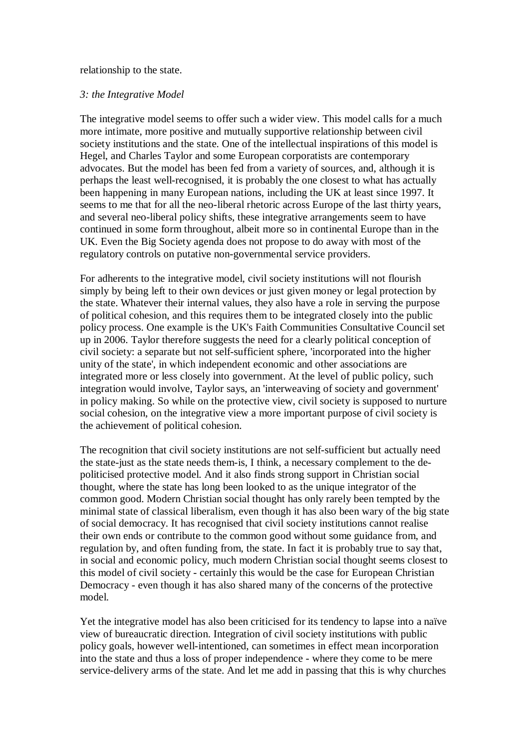#### relationship to the state.

#### *3: the Integrative Model*

The integrative model seems to offer such a wider view. This model calls for a much more intimate, more positive and mutually supportive relationship between civil society institutions and the state. One of the intellectual inspirations of this model is Hegel, and Charles Taylor and some European corporatists are contemporary advocates. But the model has been fed from a variety of sources, and, although it is perhaps the least well-recognised, it is probably the one closest to what has actually been happening in many European nations, including the UK at least since 1997. It seems to me that for all the neo-liberal rhetoric across Europe of the last thirty years, and several neo-liberal policy shifts, these integrative arrangements seem to have continued in some form throughout, albeit more so in continental Europe than in the UK. Even the Big Society agenda does not propose to do away with most of the regulatory controls on putative non-governmental service providers.

For adherents to the integrative model, civil society institutions will not flourish simply by being left to their own devices or just given money or legal protection by the state. Whatever their internal values, they also have a role in serving the purpose of political cohesion, and this requires them to be integrated closely into the public policy process. One example is the UK's Faith Communities Consultative Council set up in 2006. Taylor therefore suggests the need for a clearly political conception of civil society: a separate but not self-sufficient sphere, 'incorporated into the higher unity of the state', in which independent economic and other associations are integrated more or less closely into government. At the level of public policy, such integration would involve, Taylor says, an 'interweaving of society and government' in policy making. So while on the protective view, civil society is supposed to nurture social cohesion, on the integrative view a more important purpose of civil society is the achievement of political cohesion.

The recognition that civil society institutions are not self-sufficient but actually need the state-just as the state needs them-is, I think, a necessary complement to the depoliticised protective model. And it also finds strong support in Christian social thought, where the state has long been looked to as the unique integrator of the common good. Modern Christian social thought has only rarely been tempted by the minimal state of classical liberalism, even though it has also been wary of the big state of social democracy. It has recognised that civil society institutions cannot realise their own ends or contribute to the common good without some guidance from, and regulation by, and often funding from, the state. In fact it is probably true to say that, in social and economic policy, much modern Christian social thought seems closest to this model of civil society - certainly this would be the case for European Christian Democracy - even though it has also shared many of the concerns of the protective model.

Yet the integrative model has also been criticised for its tendency to lapse into a naïve view of bureaucratic direction. Integration of civil society institutions with public policy goals, however well-intentioned, can sometimes in effect mean incorporation into the state and thus a loss of proper independence - where they come to be mere service-delivery arms of the state. And let me add in passing that this is why churches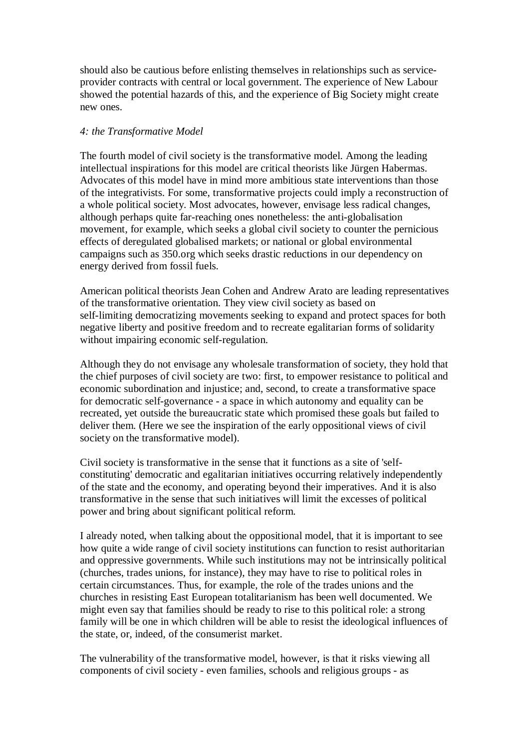should also be cautious before enlisting themselves in relationships such as serviceprovider contracts with central or local government. The experience of New Labour showed the potential hazards of this, and the experience of Big Society might create new ones.

#### *4: the Transformative Model*

The fourth model of civil society is the transformative model. Among the leading intellectual inspirations for this model are critical theorists like Jürgen Habermas. Advocates of this model have in mind more ambitious state interventions than those of the integrativists. For some, transformative projects could imply a reconstruction of a whole political society. Most advocates, however, envisage less radical changes, although perhaps quite far-reaching ones nonetheless: the anti-globalisation movement, for example, which seeks a global civil society to counter the pernicious effects of deregulated globalised markets; or national or global environmental campaigns such as 350.org which seeks drastic reductions in our dependency on energy derived from fossil fuels.

American political theorists Jean Cohen and Andrew Arato are leading representatives of the transformative orientation. They view civil society as based on self-limiting democratizing movements seeking to expand and protect spaces for both negative liberty and positive freedom and to recreate egalitarian forms of solidarity without impairing economic self-regulation.

Although they do not envisage any wholesale transformation of society, they hold that the chief purposes of civil society are two: first, to empower resistance to political and economic subordination and injustice; and, second, to create a transformative space for democratic self-governance - a space in which autonomy and equality can be recreated, yet outside the bureaucratic state which promised these goals but failed to deliver them. (Here we see the inspiration of the early oppositional views of civil society on the transformative model).

Civil society is transformative in the sense that it functions as a site of 'selfconstituting' democratic and egalitarian initiatives occurring relatively independently of the state and the economy, and operating beyond their imperatives. And it is also transformative in the sense that such initiatives will limit the excesses of political power and bring about significant political reform.

I already noted, when talking about the oppositional model, that it is important to see how quite a wide range of civil society institutions can function to resist authoritarian and oppressive governments. While such institutions may not be intrinsically political (churches, trades unions, for instance), they may have to rise to political roles in certain circumstances. Thus, for example, the role of the trades unions and the churches in resisting East European totalitarianism has been well documented. We might even say that families should be ready to rise to this political role: a strong family will be one in which children will be able to resist the ideological influences of the state, or, indeed, of the consumerist market.

The vulnerability of the transformative model, however, is that it risks viewing all components of civil society - even families, schools and religious groups - as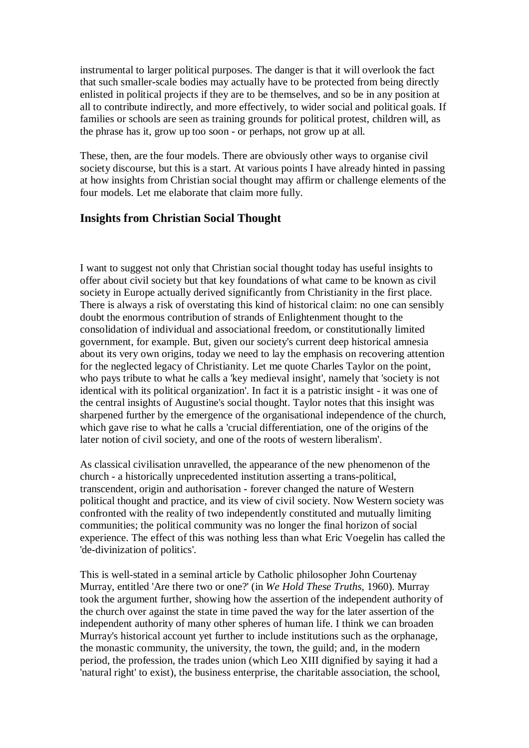instrumental to larger political purposes. The danger is that it will overlook the fact that such smaller-scale bodies may actually have to be protected from being directly enlisted in political projects if they are to be themselves, and so be in any position at all to contribute indirectly, and more effectively, to wider social and political goals. If families or schools are seen as training grounds for political protest, children will, as the phrase has it, grow up too soon - or perhaps, not grow up at all.

These, then, are the four models. There are obviously other ways to organise civil society discourse, but this is a start. At various points I have already hinted in passing at how insights from Christian social thought may affirm or challenge elements of the four models. Let me elaborate that claim more fully.

# **Insights from Christian Social Thought**

I want to suggest not only that Christian social thought today has useful insights to offer about civil society but that key foundations of what came to be known as civil society in Europe actually derived significantly from Christianity in the first place. There is always a risk of overstating this kind of historical claim: no one can sensibly doubt the enormous contribution of strands of Enlightenment thought to the consolidation of individual and associational freedom, or constitutionally limited government, for example. But, given our society's current deep historical amnesia about its very own origins, today we need to lay the emphasis on recovering attention for the neglected legacy of Christianity. Let me quote Charles Taylor on the point, who pays tribute to what he calls a 'key medieval insight', namely that 'society is not identical with its political organization'. In fact it is a patristic insight - it was one of the central insights of Augustine's social thought. Taylor notes that this insight was sharpened further by the emergence of the organisational independence of the church, which gave rise to what he calls a 'crucial differentiation, one of the origins of the later notion of civil society, and one of the roots of western liberalism'.

As classical civilisation unravelled, the appearance of the new phenomenon of the church - a historically unprecedented institution asserting a trans-political, transcendent, origin and authorisation - forever changed the nature of Western political thought and practice, and its view of civil society. Now Western society was confronted with the reality of two independently constituted and mutually limiting communities; the political community was no longer the final horizon of social experience. The effect of this was nothing less than what Eric Voegelin has called the 'de-divinization of politics'.

This is well-stated in a seminal article by Catholic philosopher John Courtenay Murray, entitled 'Are there two or one?' (in *We Hold These Truths*, 1960). Murray took the argument further, showing how the assertion of the independent authority of the church over against the state in time paved the way for the later assertion of the independent authority of many other spheres of human life. I think we can broaden Murray's historical account yet further to include institutions such as the orphanage, the monastic community, the university, the town, the guild; and, in the modern period, the profession, the trades union (which Leo XIII dignified by saying it had a 'natural right' to exist), the business enterprise, the charitable association, the school,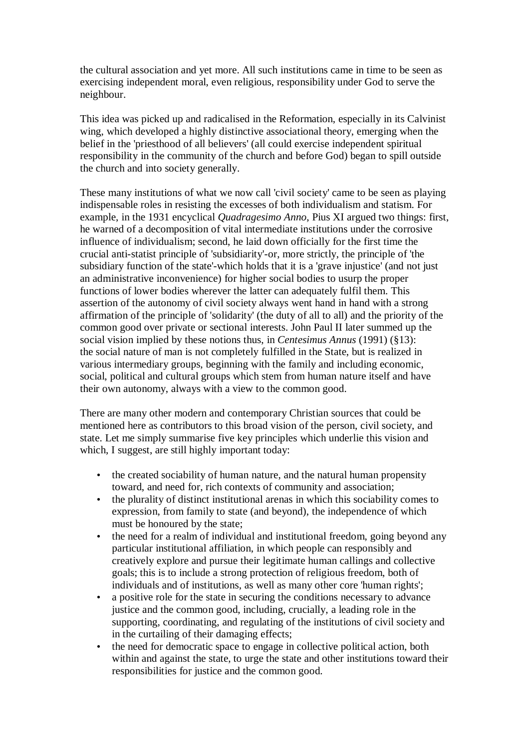the cultural association and yet more. All such institutions came in time to be seen as exercising independent moral, even religious, responsibility under God to serve the neighbour.

This idea was picked up and radicalised in the Reformation, especially in its Calvinist wing, which developed a highly distinctive associational theory, emerging when the belief in the 'priesthood of all believers' (all could exercise independent spiritual responsibility in the community of the church and before God) began to spill outside the church and into society generally.

These many institutions of what we now call 'civil society' came to be seen as playing indispensable roles in resisting the excesses of both individualism and statism. For example, in the 1931 encyclical *Quadragesimo Anno*, Pius XI argued two things: first, he warned of a decomposition of vital intermediate institutions under the corrosive influence of individualism; second, he laid down officially for the first time the crucial anti-statist principle of 'subsidiarity'-or, more strictly, the principle of 'the subsidiary function of the state'-which holds that it is a 'grave injustice' (and not just an administrative inconvenience) for higher social bodies to usurp the proper functions of lower bodies wherever the latter can adequately fulfil them. This assertion of the autonomy of civil society always went hand in hand with a strong affirmation of the principle of 'solidarity' (the duty of all to all) and the priority of the common good over private or sectional interests. John Paul II later summed up the social vision implied by these notions thus, in *Centesimus Annus* (1991) (§13): the social nature of man is not completely fulfilled in the State, but is realized in various intermediary groups, beginning with the family and including economic, social, political and cultural groups which stem from human nature itself and have their own autonomy, always with a view to the common good.

There are many other modern and contemporary Christian sources that could be mentioned here as contributors to this broad vision of the person, civil society, and state. Let me simply summarise five key principles which underlie this vision and which, I suggest, are still highly important today:

- the created sociability of human nature, and the natural human propensity toward, and need for, rich contexts of community and association;
- the plurality of distinct institutional arenas in which this sociability comes to expression, from family to state (and beyond), the independence of which must be honoured by the state;
- the need for a realm of individual and institutional freedom, going beyond any particular institutional affiliation, in which people can responsibly and creatively explore and pursue their legitimate human callings and collective goals; this is to include a strong protection of religious freedom, both of individuals and of institutions, as well as many other core 'human rights';
- a positive role for the state in securing the conditions necessary to advance justice and the common good, including, crucially, a leading role in the supporting, coordinating, and regulating of the institutions of civil society and in the curtailing of their damaging effects;
- the need for democratic space to engage in collective political action, both within and against the state, to urge the state and other institutions toward their responsibilities for justice and the common good.